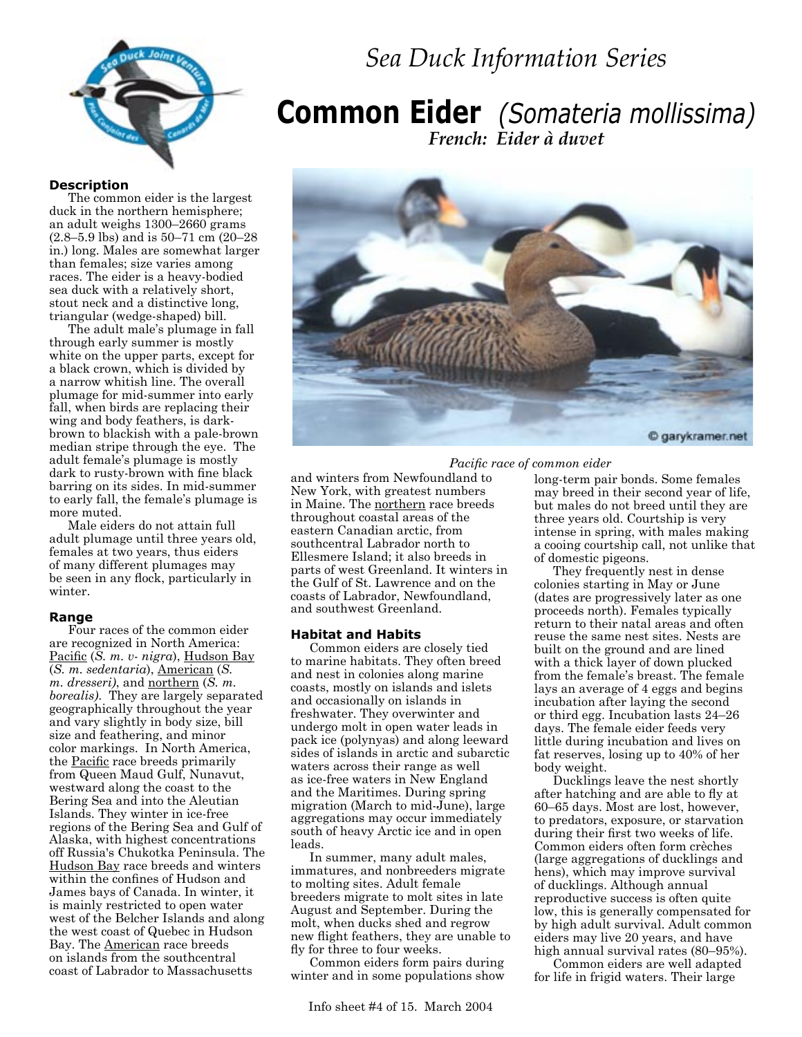

# *Sea Duck Information Series*

# **Common Eider** *(Somateria mollissima) French: Eider à duvet*

#### **Description**

The common eider is the largest duck in the northern hemisphere; an adult weighs 1300–2660 grams (2.8–5.9 lbs) and is 50–71 cm (20–28 in.) long. Males are somewhat larger than females; size varies among races. The eider is a heavy-bodied sea duck with a relatively short, stout neck and a distinctive long, triangular (wedge-shaped) bill.

The adult male's plumage in fall through early summer is mostly white on the upper parts, except for a black crown, which is divided by a narrow whitish line. The overall plumage for mid-summer into early fall, when birds are replacing their wing and body feathers, is darkbrown to blackish with a pale-brown median stripe through the eye. The adult female's plumage is mostly dark to rusty-brown with fine black barring on its sides. In mid-summer to early fall, the female's plumage is more muted.

Male eiders do not attain full adult plumage until three years old, females at two years, thus eiders of many different plumages may be seen in any flock, particularly in winter.

#### **Range**

Four races of the common eider are recognized in North America: Pacific (*S. m. v- nigra*), Hudson Bay (*S. m. sedentaria*), American (*S. m. dresseri)*, and northern (*S. m. borealis)*. They are largely separated geographically throughout the year and vary slightly in body size, bill size and feathering, and minor color markings. In North America, the Pacific race breeds primarily from Queen Maud Gulf, Nunavut, westward along the coast to the Bering Sea and into the Aleutian Islands. They winter in ice-free regions of the Bering Sea and Gulf of Alaska, with highest concentrations off Russia's Chukotka Peninsula. The Hudson Bay race breeds and winters within the confines of Hudson and James bays of Canada. In winter, it is mainly restricted to open water west of the Belcher Islands and along the west coast of Quebec in Hudson Bay. The American race breeds on islands from the southcentral coast of Labrador to Massachusetts



 *Pacific race of common eider* 

and winters from Newfoundland to New York, with greatest numbers in Maine. The northern race breeds throughout coastal areas of the eastern Canadian arctic, from southcentral Labrador north to Ellesmere Island; it also breeds in parts of west Greenland. It winters in the Gulf of St. Lawrence and on the coasts of Labrador, Newfoundland, and southwest Greenland.

#### **Habitat and Habits**

Common eiders are closely tied to marine habitats. They often breed and nest in colonies along marine coasts, mostly on islands and islets and occasionally on islands in freshwater. They overwinter and undergo molt in open water leads in pack ice (polynyas) and along leeward sides of islands in arctic and subarctic waters across their range as well as ice-free waters in New England and the Maritimes. During spring migration (March to mid-June), large aggregations may occur immediately south of heavy Arctic ice and in open leads.

In summer, many adult males, immatures, and nonbreeders migrate to molting sites. Adult female breeders migrate to molt sites in late August and September. During the molt, when ducks shed and regrow new flight feathers, they are unable to fly for three to four weeks.

Common eiders form pairs during winter and in some populations show

but males do not breed until they are three years old. Courtship is very intense in spring, with males making a cooing courtship call, not unlike that of domestic pigeons. They frequently nest in dense

long-term pair bonds. Some females may breed in their second year of life,

colonies starting in May or June (dates are progressively later as one proceeds north). Females typically return to their natal areas and often reuse the same nest sites. Nests are built on the ground and are lined with a thick layer of down plucked from the female's breast. The female lays an average of 4 eggs and begins incubation after laying the second or third egg. Incubation lasts 24–26 days. The female eider feeds very little during incubation and lives on fat reserves, losing up to 40% of her body weight.

Ducklings leave the nest shortly after hatching and are able to fly at 60–65 days. Most are lost, however, to predators, exposure, or starvation during their first two weeks of life. Common eiders often form crèches (large aggregations of ducklings and hens), which may improve survival of ducklings. Although annual reproductive success is often quite low, this is generally compensated for by high adult survival. Adult common eiders may live 20 years, and have high annual survival rates (80–95%).

Common eiders are well adapted for life in frigid waters. Their large